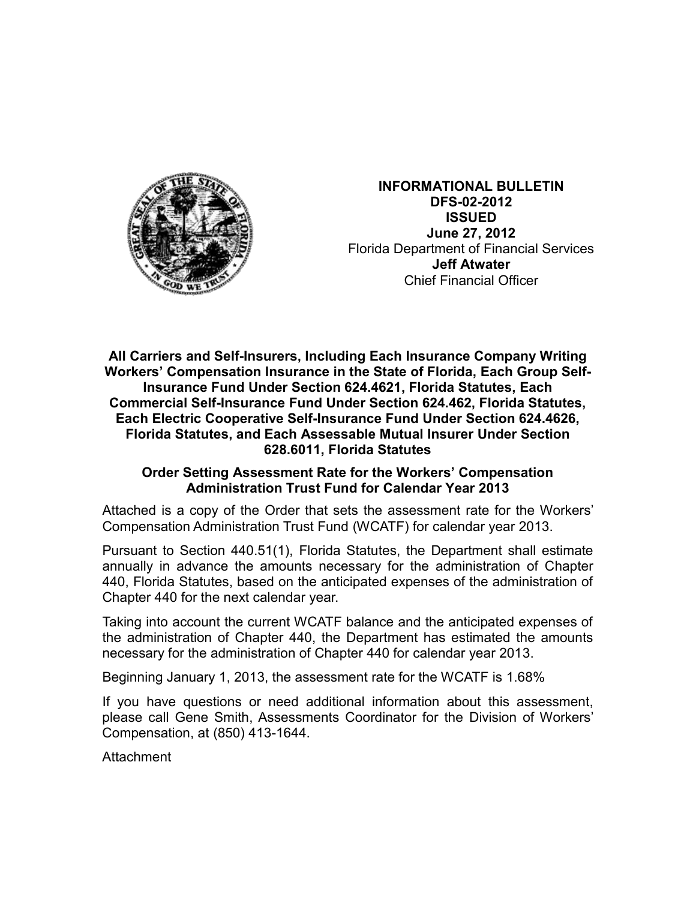

**INFORMATIONAL BULLETIN DFS-02-2012 ISSUED June 27, 2012** Florida Department of Financial Services **Jeff Atwater** Chief Financial Officer

**All Carriers and Self-Insurers, Including Each Insurance Company Writing Workers' Compensation Insurance in the State of Florida, Each Group Self-Insurance Fund Under Section 624.4621, Florida Statutes, Each Commercial Self-Insurance Fund Under Section 624.462, Florida Statutes, Each Electric Cooperative Self-Insurance Fund Under Section 624.4626, Florida Statutes, and Each Assessable Mutual Insurer Under Section 628.6011, Florida Statutes** 

## **Order Setting Assessment Rate for the Workers' Compensation Administration Trust Fund for Calendar Year 2013**

Attached is a copy of the Order that sets the assessment rate for the Workers' Compensation Administration Trust Fund (WCATF) for calendar year 2013.

Pursuant to Section 440.51(1), Florida Statutes, the Department shall estimate annually in advance the amounts necessary for the administration of Chapter 440, Florida Statutes, based on the anticipated expenses of the administration of Chapter 440 for the next calendar year.

Taking into account the current WCATF balance and the anticipated expenses of the administration of Chapter 440, the Department has estimated the amounts necessary for the administration of Chapter 440 for calendar year 2013.

Beginning January 1, 2013, the assessment rate for the WCATF is 1.68%

If you have questions or need additional information about this assessment, please call Gene Smith, Assessments Coordinator for the Division of Workers' Compensation, at (850) 413-1644.

**Attachment**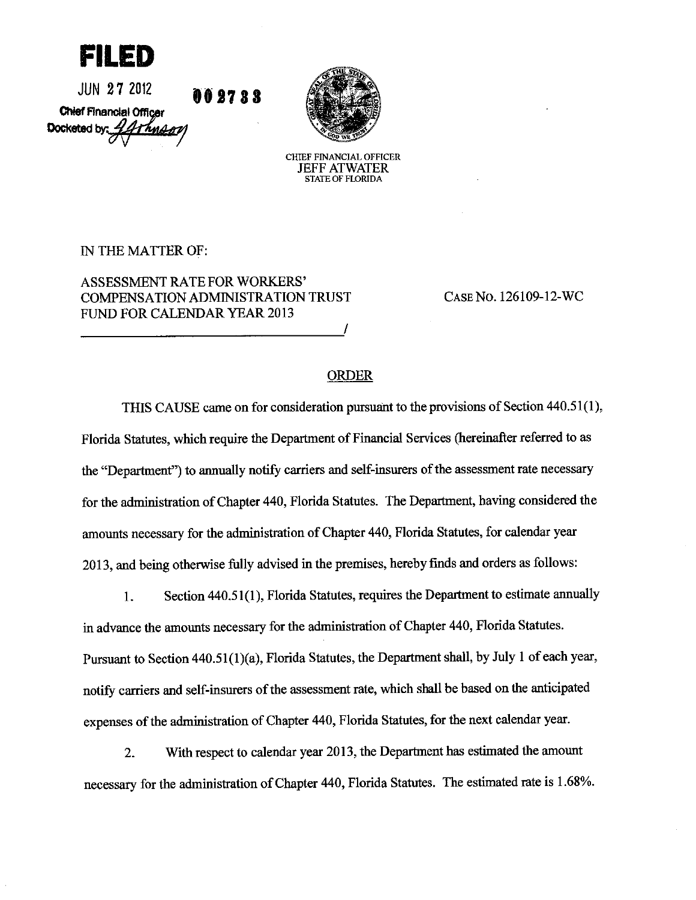fii ed

JUN 27 2012 00 27 8 S Chief Financial Officer Docketed by:  $\frac{1}{2}$ Thuran



**CHIEF FINANCIAL OFFICER JEFF ATWATER STATE OF FLORIDA** 

IN THE MATTER OF:

**ASSESSMENT RATE FOR WORKERS' COMPENSATION ADMINISTRATION TRUST** FUND FOR CALENDAR YEAR 2013

CASE No. 126109-12-WC

## **ORDER**

THIS CAUSE came on for consideration pursuant to the provisions of Section 440.51(1), Florida Statutes, which require the Department of Financial Services (hereinafter referred to as the "Department") to annually notify carriers and self-insurers of the assessment rate necessary for the administration of Chapter 440, Florida Statutes. The Department, having considered the amounts necessary for the administration of Chapter 440, Florida Statutes, for calendar year 2013, and being otherwise fully advised in the premises, hereby finds and orders as follows:

Section 440.51(1), Florida Statutes, requires the Department to estimate annually  $1<sub>1</sub>$ in advance the amounts necessary for the administration of Chapter 440, Florida Statutes. Pursuant to Section 440.51(1)(a), Florida Statutes, the Department shall, by July 1 of each year, notify carriers and self-insurers of the assessment rate, which shall be based on the anticipated expenses of the administration of Chapter 440, Florida Statutes, for the next calendar year.

With respect to calendar year 2013, the Department has estimated the amount  $2.$ necessary for the administration of Chapter 440, Florida Statutes. The estimated rate is 1.68%.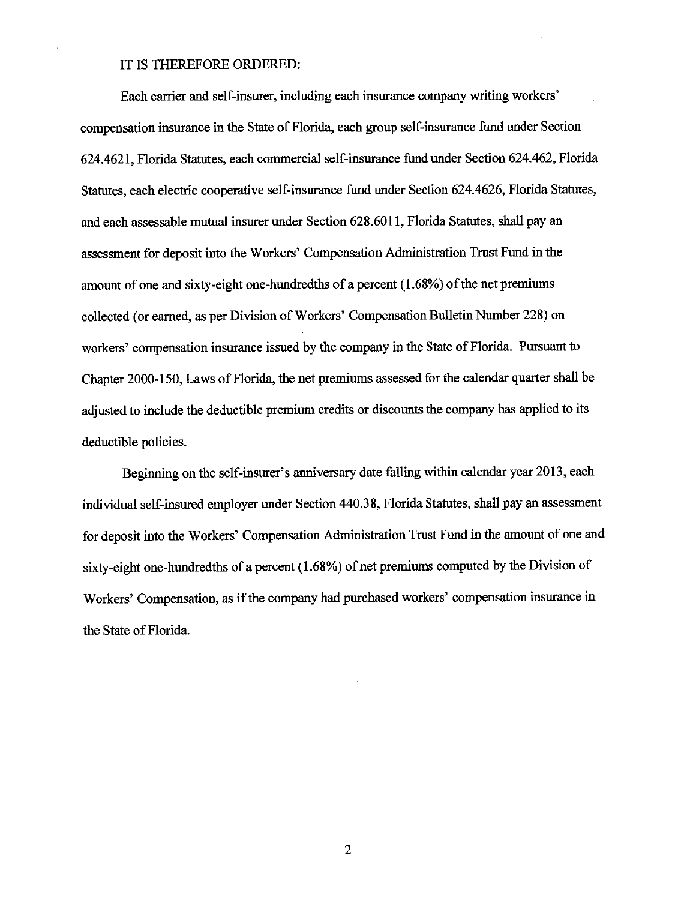## IT IS THEREFORE ORDERED:

Each carrier and self-insurer, including each insurance company writing workers' compensation insurance in the State of Florida, each group self-insurance fund under Section 624.4621, Florida Statutes, each commercial self-insurance fund under Section 624.462, Florida Statutes, each electric cooperative self-insurance fund under Section 624.4626, Florida Statutes, and each assessable mutual insurer under Section 628,6011, Florida Statutes, shall pay an assessment for deposit into the Workers' Compensation Administration Trust Fund in the amount of one and sixty-eight one-hundredths of a percent (1.68%) of the net premiums collected (or earned, as per Division of Workers' Compensation Bulletin Number 228) on workers' compensation insurance issued by the company in the State of Florida. Pursuant to Chapter 2000-150, Laws of Florida, the net premiums assessed for the calendar quarter shall be adjusted to include the deductible premium credits or discounts the company has applied to its deductible policies.

Beginning on the self-insurer's anniversary date falling within calendar year 2013, each individual self-insured employer under Section 440.38, Florida Statutes, shall pay an assessment for deposit into the Workers' Compensation Administration Trust Fund in the amount of one and sixty-eight one-hundredths of a percent (1.68%) of net premiums computed by the Division of Workers' Compensation, as if the company had purchased workers' compensation insurance in the State of Florida.

 $\overline{2}$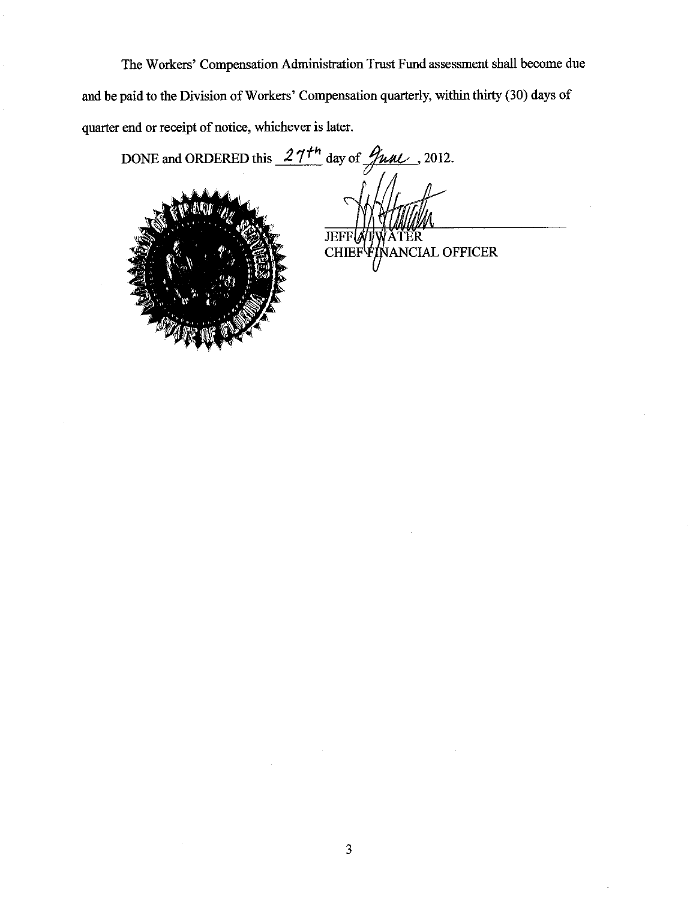The Workers' Compensation Administration Trust Fund assessment shall become due and be paid to the Division of Workers' Compensation quarterly, within thirty (30) days of quarter end or receipt of notice, whichever is later.

DONE and ORDERED this  $27^{th}$  day of  $\frac{\partial \mu}{\partial L}$ , 2012.



**JEFF** ĖR CHIEF FINANCIAL OFFICER